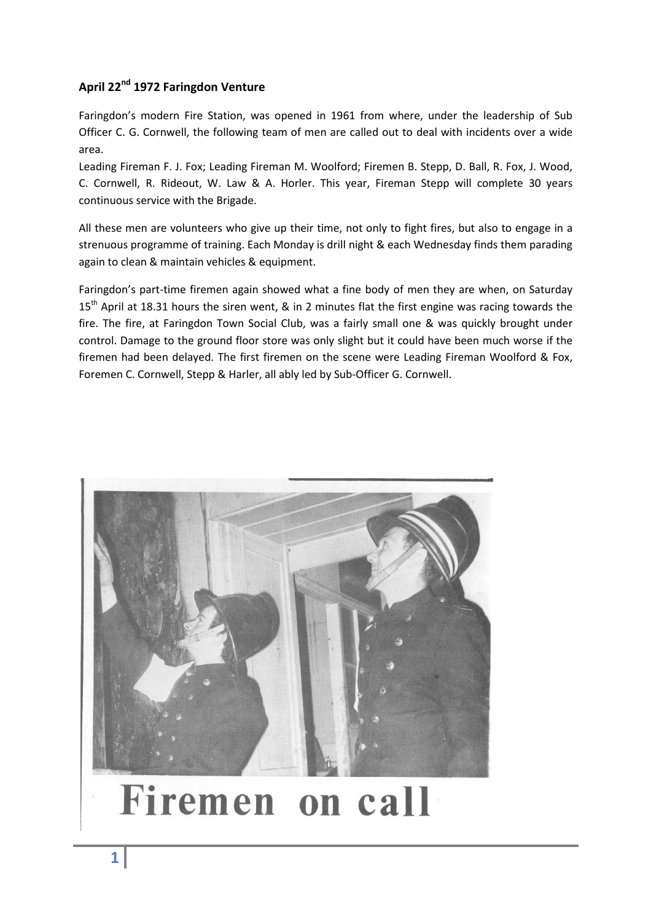## **April 22nd 1972 Faringdon Venture**

Faringdon's modern Fire Station, was opened in 1961 from where, under the leadership of Sub Officer C. G. Cornwell, the following team of men are called out to deal with incidents over a wide area.

Leading Fireman F. J. Fox; Leading Fireman M. Woolford; Firemen B. Stepp, D. Ball, R. Fox, J. Wood, C. Cornwell, R. Rideout, W. Law & A. Horler. This year, Fireman Stepp will complete 30 years continuous service with the Brigade.

All these men are volunteers who give up their time, not only to fight fires, but also to engage in a strenuous programme of training. Each Monday is drill night & each Wednesday finds them parading again to clean & maintain vehicles & equipment.

Faringdon's part-time firemen again showed what a fine body of men they are when, on Saturday 15<sup>th</sup> April at 18.31 hours the siren went, & in 2 minutes flat the first engine was racing towards the fire. The fire, at Faringdon Town Social Club, was a fairly small one & was quickly brought under control. Damage to the ground floor store was only slight but it could have been much worse if the firemen had been delayed. The first firemen on the scene were Leading Fireman Woolford & Fox, Foremen C. Cornwell, Stepp & Harler, all ably led by Sub-Officer G. Cornwell.



## Firemen on call